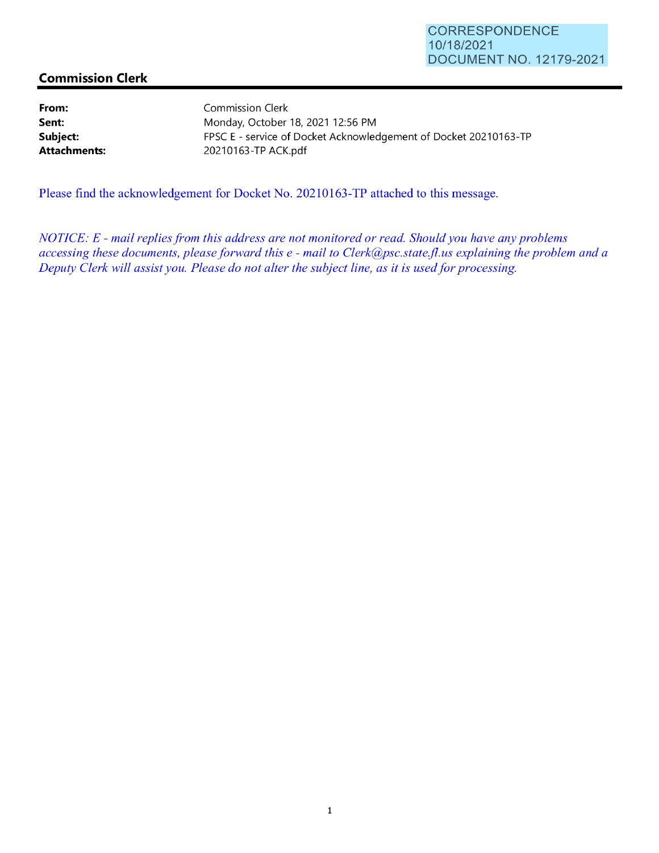## **Commission Clerk**

**From: Sent: Subject: Attachments:** 

Commission Clerk Monday, October 18, 2021 12:56 PM FPSC E - service of Docket Acknowledgement of Docket 20210163-TP 20210163-TP ACK.pdf

Please find the acknowledgement for Docket No. 20210163-TP attached to this message.

*NOTICE: E* - *mail replies from this address are not monitored or read. Should you have any problems accessing these documents, please forward this e* - *mail to Clerk@psc.state.jl.us explaining the problem and a Deputy Clerk will assist you. Please do not alter the subject line, as it is used for processing.*